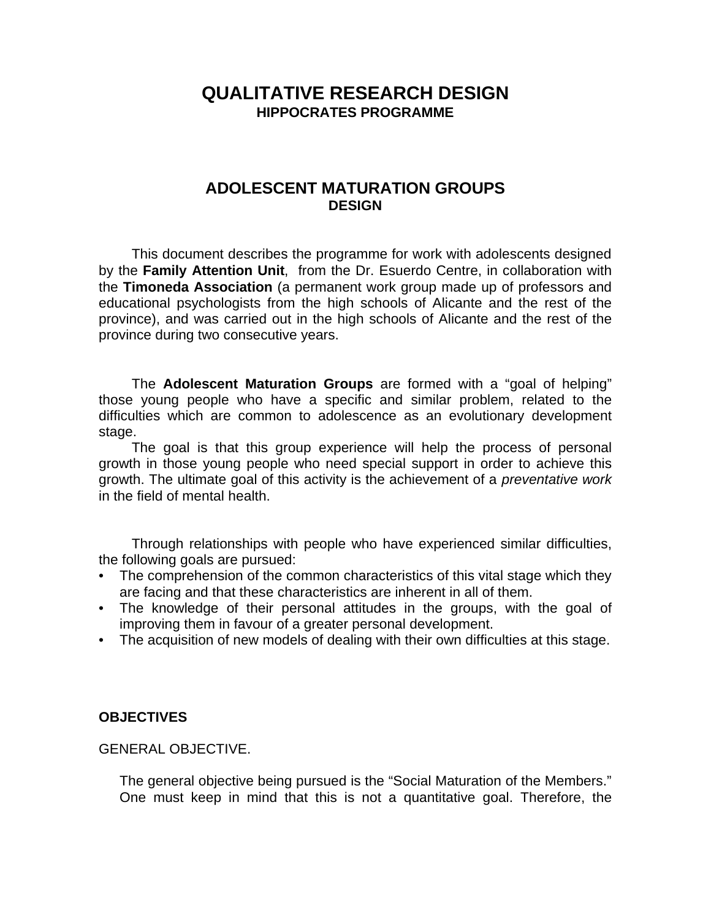# **QUALITATIVE RESEARCH DESIGN HIPPOCRATES PROGRAMME**

# **ADOLESCENT MATURATION GROUPS DESIGN**

This document describes the programme for work with adolescents designed by the **Family Attention Unit**, from the Dr. Esuerdo Centre, in collaboration with the **Timoneda Association** (a permanent work group made up of professors and educational psychologists from the high schools of Alicante and the rest of the province), and was carried out in the high schools of Alicante and the rest of the province during two consecutive years.

The **Adolescent Maturation Groups** are formed with a "goal of helping" those young people who have a specific and similar problem, related to the difficulties which are common to adolescence as an evolutionary development stage.

The goal is that this group experience will help the process of personal growth in those young people who need special support in order to achieve this growth. The ultimate goal of this activity is the achievement of a *preventative work* in the field of mental health.

Through relationships with people who have experienced similar difficulties, the following goals are pursued:

- The comprehension of the common characteristics of this vital stage which they are facing and that these characteristics are inherent in all of them.
- The knowledge of their personal attitudes in the groups, with the goal of improving them in favour of a greater personal development.
- The acquisition of new models of dealing with their own difficulties at this stage.

#### **OBJECTIVES**

#### GENERAL OBJECTIVE.

The general objective being pursued is the "Social Maturation of the Members." One must keep in mind that this is not a quantitative goal. Therefore, the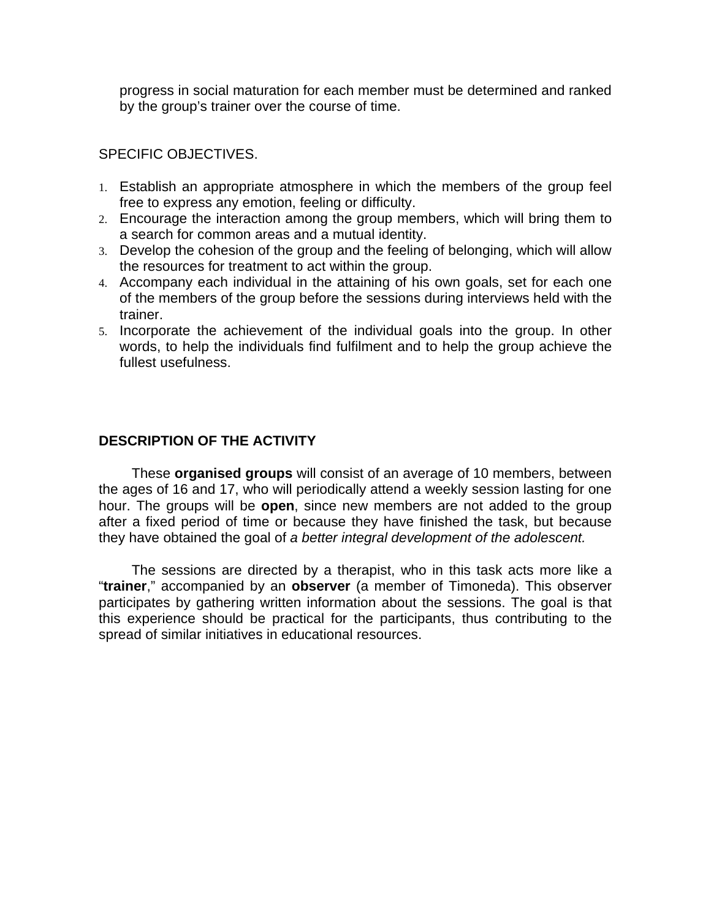progress in social maturation for each member must be determined and ranked by the group's trainer over the course of time.

# SPECIFIC OBJECTIVES.

- 1. Establish an appropriate atmosphere in which the members of the group feel free to express any emotion, feeling or difficulty.
- 2. Encourage the interaction among the group members, which will bring them to a search for common areas and a mutual identity.
- 3. Develop the cohesion of the group and the feeling of belonging, which will allow the resources for treatment to act within the group.
- 4. Accompany each individual in the attaining of his own goals, set for each one of the members of the group before the sessions during interviews held with the trainer.
- 5. Incorporate the achievement of the individual goals into the group. In other words, to help the individuals find fulfilment and to help the group achieve the fullest usefulness.

# **DESCRIPTION OF THE ACTIVITY**

These **organised groups** will consist of an average of 10 members, between the ages of 16 and 17, who will periodically attend a weekly session lasting for one hour. The groups will be **open**, since new members are not added to the group after a fixed period of time or because they have finished the task, but because they have obtained the goal of *a better integral development of the adolescent.*

The sessions are directed by a therapist, who in this task acts more like a "**trainer**," accompanied by an **observer** (a member of Timoneda). This observer participates by gathering written information about the sessions. The goal is that this experience should be practical for the participants, thus contributing to the spread of similar initiatives in educational resources.